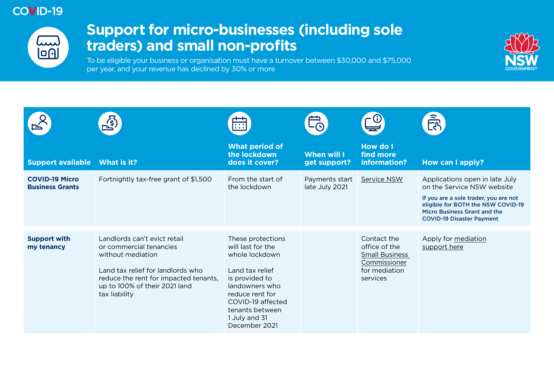## **COVID-19**



## **Support for micro-businesses (including sole traders) and small non-profits**

To be eligible your business or organisation must have a turnover between \$30,000 and \$75,000 per year, and your revenue has declined by 30% or more



|                                                 | $\overrightarrow{\mathcal{Z}}$                                                                                                                                                                               | $\overline{\cdots}$                                                                                                                                                                                          | LÀ                                 |                                                                                                    | $\widehat{\widehat{\mathbb{E}}}_\Lambda$                                                                                                                                                                               |
|-------------------------------------------------|--------------------------------------------------------------------------------------------------------------------------------------------------------------------------------------------------------------|--------------------------------------------------------------------------------------------------------------------------------------------------------------------------------------------------------------|------------------------------------|----------------------------------------------------------------------------------------------------|------------------------------------------------------------------------------------------------------------------------------------------------------------------------------------------------------------------------|
| <b>Support available</b>                        | What is it?                                                                                                                                                                                                  | <b>What period of</b><br>the lockdown<br>does it cover?                                                                                                                                                      | <b>When will I</b><br>get support? | <b>How do I</b><br>find more<br>information?                                                       | How can I apply?                                                                                                                                                                                                       |
| <b>COVID-19 Micro</b><br><b>Business Grants</b> | Fortnightly tax-free grant of \$1,500                                                                                                                                                                        | From the start of<br>the lockdown                                                                                                                                                                            | Payments start<br>late July 2021   | Service NSW                                                                                        | Applications open in late July<br>on the Service NSW website<br>If you are a sole trader, you are not<br>eligible for BOTH the NSW COVID-19<br><b>Micro Business Grant and the</b><br><b>COVID-19 Disaster Payment</b> |
| <b>Support with</b><br>my tenancy               | Landlords can't evict retail<br>or commercial tenancies<br>without mediation<br>Land tax relief for landlords who<br>reduce the rent for impacted tenants,<br>up to 100% of their 2021 land<br>tax liability | These protections<br>will last for the<br>whole lockdown<br>Land tax relief<br>is provided to<br>landowners who<br>reduce rent for<br>COVID-19 affected<br>tenants between<br>1 July and 31<br>December 2021 |                                    | Contact the<br>office of the<br><b>Small Business</b><br>Commissioner<br>for mediation<br>services | Apply for mediation<br>support here                                                                                                                                                                                    |